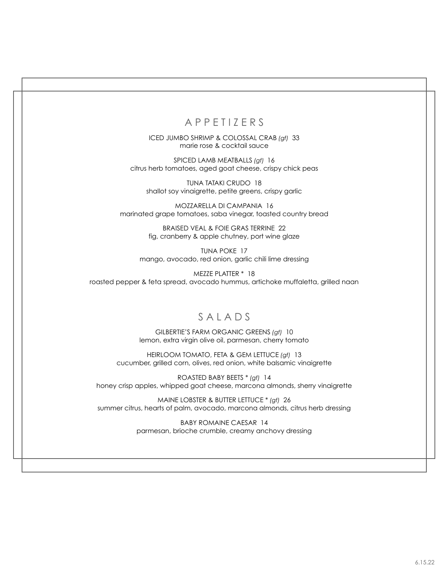## A P P E T I Z E R S

ICED JUMBO SHRIMP & COLOSSAL CRAB *(gf)* 33 marie rose & cocktail sauce

SPICED LAMB MEATBALLS *(gf)* 16 citrus herb tomatoes, aged goat cheese, crispy chick peas

TUNA TATAKI CRUDO 18 shallot soy vinaigrette, petite greens, crispy garlic

MOZZARELLA DI CAMPANIA 16 marinated grape tomatoes, saba vinegar, toasted country bread

> BRAISED VEAL & FOIE GRAS TERRINE 22 fig, cranberry & apple chutney, port wine glaze

TUNA POKE 17 mango, avocado, red onion, garlic chili lime dressing

MEZZE PLATTER \* 18 roasted pepper & feta spread, avocado hummus, artichoke muffaletta, grilled naan

## S A L A D S

GILBERTIE'S FARM ORGANIC GREENS *(gf)* 10 lemon, extra virgin olive oil, parmesan, cherry tomato

HEIRLOOM TOMATO, FETA & GEM LETTUCE *(gf)* 13 cucumber, grilled corn, olives, red onion, white balsamic vinaigrette

ROASTED BABY BEETS \* *(gf)* 14 honey crisp apples, whipped goat cheese, marcona almonds, sherry vinaigrette

MAINE LOBSTER & BUTTER LETTUCE \* *(gf)* 26 summer citrus, hearts of palm, avocado, marcona almonds, citrus herb dressing

> BABY ROMAINE CAESAR 14 parmesan, brioche crumble, creamy anchovy dressing